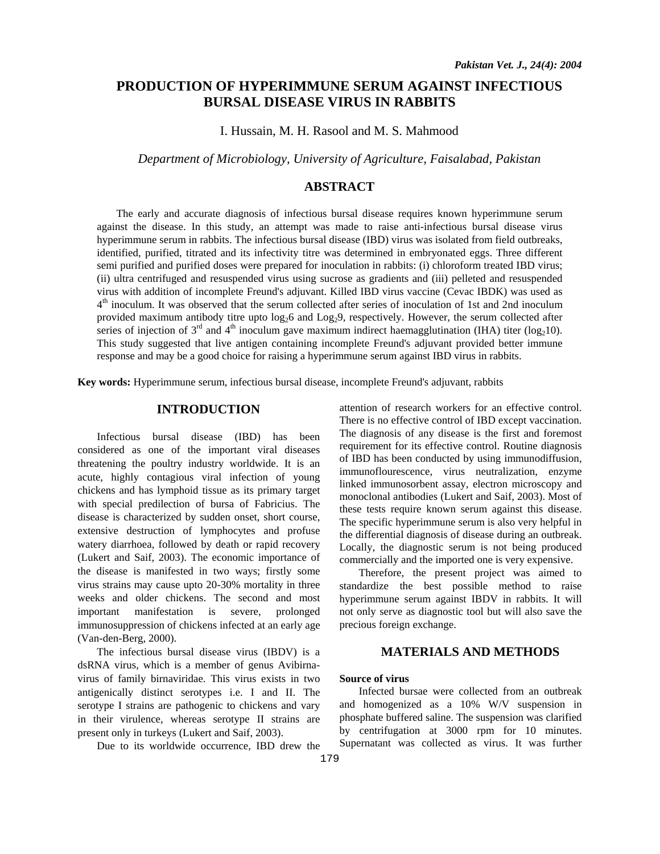# **PRODUCTION OF HYPERIMMUNE SERUM AGAINST INFECTIOUS BURSAL DISEASE VIRUS IN RABBITS**

I. Hussain, M. H. Rasool and M. S. Mahmood

*Department of Microbiology, University of Agriculture, Faisalabad, Pakistan* 

# **ABSTRACT**

The early and accurate diagnosis of infectious bursal disease requires known hyperimmune serum against the disease. In this study, an attempt was made to raise anti-infectious bursal disease virus hyperimmune serum in rabbits. The infectious bursal disease (IBD) virus was isolated from field outbreaks, identified, purified, titrated and its infectivity titre was determined in embryonated eggs. Three different semi purified and purified doses were prepared for inoculation in rabbits: (i) chloroform treated IBD virus; (ii) ultra centrifuged and resuspended virus using sucrose as gradients and (iii) pelleted and resuspended virus with addition of incomplete Freund's adjuvant. Killed IBD virus vaccine (Cevac IBDK) was used as 4<sup>th</sup> inoculum. It was observed that the serum collected after series of inoculation of 1st and 2nd inoculum provided maximum antibody titre upto  $\log_2 6$  and  $\log_2 9$ , respectively. However, the serum collected after series of injection of  $3<sup>rd</sup>$  and  $4<sup>th</sup>$  inoculum gave maximum indirect haemagglutination (IHA) titer (log<sub>2</sub>10). This study suggested that live antigen containing incomplete Freund's adjuvant provided better immune response and may be a good choice for raising a hyperimmune serum against IBD virus in rabbits.

**Key words:** Hyperimmune serum, infectious bursal disease, incomplete Freund's adjuvant, rabbits

# **INTRODUCTION**

Infectious bursal disease (IBD) has been considered as one of the important viral diseases threatening the poultry industry worldwide. It is an acute, highly contagious viral infection of young chickens and has lymphoid tissue as its primary target with special predilection of bursa of Fabricius. The disease is characterized by sudden onset, short course, extensive destruction of lymphocytes and profuse watery diarrhoea, followed by death or rapid recovery (Lukert and Saif, 2003). The economic importance of the disease is manifested in two ways; firstly some virus strains may cause upto 20-30% mortality in three weeks and older chickens. The second and most important manifestation is severe, prolonged immunosuppression of chickens infected at an early age (Van-den-Berg, 2000).

The infectious bursal disease virus (IBDV) is a dsRNA virus, which is a member of genus Avibirnavirus of family birnaviridae. This virus exists in two antigenically distinct serotypes i.e. I and II. The serotype I strains are pathogenic to chickens and vary in their virulence, whereas serotype II strains are present only in turkeys (Lukert and Saif, 2003).

Due to its worldwide occurrence, IBD drew the

attention of research workers for an effective control. There is no effective control of IBD except vaccination. The diagnosis of any disease is the first and foremost requirement for its effective control. Routine diagnosis of IBD has been conducted by using immunodiffusion, immunoflourescence, virus neutralization, enzyme linked immunosorbent assay, electron microscopy and monoclonal antibodies (Lukert and Saif, 2003). Most of these tests require known serum against this disease. The specific hyperimmune serum is also very helpful in the differential diagnosis of disease during an outbreak. Locally, the diagnostic serum is not being produced commercially and the imported one is very expensive.

Therefore, the present project was aimed to standardize the best possible method to raise hyperimmune serum against IBDV in rabbits. It will not only serve as diagnostic tool but will also save the precious foreign exchange.

# **MATERIALS AND METHODS**

## **Source of virus**

Infected bursae were collected from an outbreak and homogenized as a 10% W/V suspension in phosphate buffered saline. The suspension was clarified by centrifugation at 3000 rpm for 10 minutes. Supernatant was collected as virus. It was further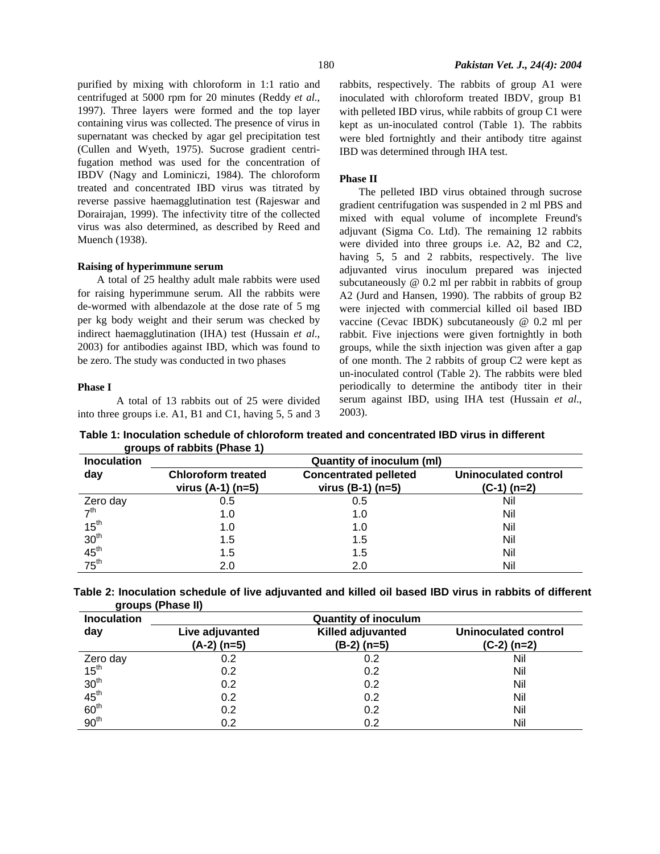purified by mixing with chloroform in 1:1 ratio and centrifuged at 5000 rpm for 20 minutes (Reddy *et al*., 1997). Three layers were formed and the top layer containing virus was collected. The presence of virus in supernatant was checked by agar gel precipitation test (Cullen and Wyeth, 1975). Sucrose gradient centrifugation method was used for the concentration of IBDV (Nagy and Lominiczi, 1984). The chloroform treated and concentrated IBD virus was titrated by reverse passive haemagglutination test (Rajeswar and Dorairajan, 1999). The infectivity titre of the collected virus was also determined, as described by Reed and Muench (1938).

### **Raising of hyperimmune serum**

A total of 25 healthy adult male rabbits were used for raising hyperimmune serum. All the rabbits were de-wormed with albendazole at the dose rate of 5 mg per kg body weight and their serum was checked by indirect haemagglutination (IHA) test (Hussain *et al*., 2003) for antibodies against IBD, which was found to be zero. The study was conducted in two phases

### **Phase I**

 A total of 13 rabbits out of 25 were divided into three groups i.e. A1, B1 and C1, having 5, 5 and 3 rabbits, respectively. The rabbits of group A1 were inoculated with chloroform treated IBDV, group B1 with pelleted IBD virus, while rabbits of group C1 were kept as un-inoculated control (Table 1). The rabbits were bled fortnightly and their antibody titre against IBD was determined through IHA test.

### **Phase II**

The pelleted IBD virus obtained through sucrose gradient centrifugation was suspended in 2 ml PBS and mixed with equal volume of incomplete Freund's adjuvant (Sigma Co. Ltd). The remaining 12 rabbits were divided into three groups i.e. A2, B2 and C2, having 5, 5 and 2 rabbits, respectively. The live adjuvanted virus inoculum prepared was injected subcutaneously @ 0.2 ml per rabbit in rabbits of group A2 (Jurd and Hansen, 1990). The rabbits of group B2 were injected with commercial killed oil based IBD vaccine (Cevac IBDK) subcutaneously @ 0.2 ml per rabbit. Five injections were given fortnightly in both groups, while the sixth injection was given after a gap of one month. The 2 rabbits of group C2 were kept as un-inoculated control (Table 2). The rabbits were bled periodically to determine the antibody titer in their serum against IBD, using IHA test (Hussain *et al*., 2003).

 **Table 1: Inoculation schedule of chloroform treated and concentrated IBD virus in different groups of rabbits (Phase 1)** 

| <b>Inoculation</b>                               | <b>Quantity of inoculum (ml)</b>                 |                                                     |                                              |  |  |
|--------------------------------------------------|--------------------------------------------------|-----------------------------------------------------|----------------------------------------------|--|--|
| day                                              | <b>Chloroform treated</b><br>virus $(A-1)$ (n=5) | <b>Concentrated pelleted</b><br>virus $(B-1)$ (n=5) | <b>Uninoculated control</b><br>$(C-1)$ (n=2) |  |  |
| Zero day<br>7 <sup>th</sup>                      | 0.5                                              | 0.5                                                 | Nil                                          |  |  |
|                                                  | 1.0                                              | 1.0                                                 | Nil                                          |  |  |
|                                                  | 1.0                                              | 1.0                                                 | Nil                                          |  |  |
|                                                  | 1.5                                              | 1.5                                                 | Nil                                          |  |  |
|                                                  | 1.5                                              | 1.5                                                 | Nil                                          |  |  |
| $15^{th}$<br>$30^{th}$<br>$45^{th}$<br>$75^{th}$ | 2.0                                              | 2.0                                                 | Nil                                          |  |  |

**Table 2: Inoculation schedule of live adjuvanted and killed oil based IBD virus in rabbits of different groups (Phase II)** 

| <b>Inoculation</b>                                                                                           | <b>Quantity of inoculum</b>      |                                           |                                              |  |  |
|--------------------------------------------------------------------------------------------------------------|----------------------------------|-------------------------------------------|----------------------------------------------|--|--|
| day                                                                                                          | Live adjuvanted<br>$(A-2)$ (n=5) | <b>Killed adjuvanted</b><br>$(B-2)$ (n=5) | <b>Uninoculated control</b><br>$(C-2)$ (n=2) |  |  |
|                                                                                                              |                                  |                                           |                                              |  |  |
|                                                                                                              | 0.2                              | 0.2                                       | Nil                                          |  |  |
|                                                                                                              | 0.2                              | 0.2                                       | Nil                                          |  |  |
|                                                                                                              | 0.2                              | 0.2                                       | Nil                                          |  |  |
|                                                                                                              | 0.2                              | 0.2                                       | Nil                                          |  |  |
|                                                                                                              | 0.2                              | 0.2                                       | Nil                                          |  |  |
| Zero day<br>15 <sup>th</sup><br>30 <sup>th</sup><br>45 <sup>th</sup><br>60 <sup>th</sup><br>90 <sup>th</sup> | 0.2                              | 0.2                                       | Nil                                          |  |  |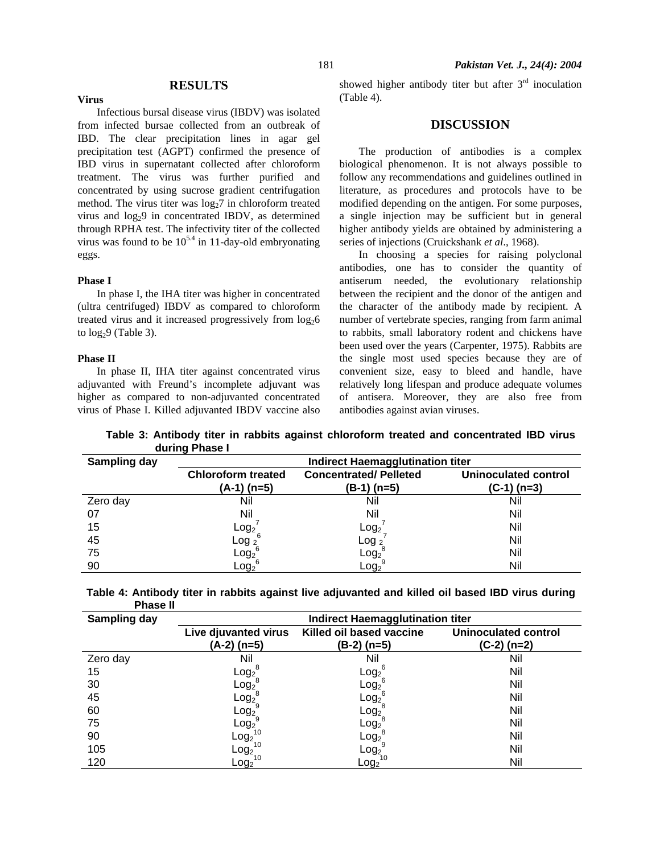## **RESULTS**

Infectious bursal disease virus (IBDV) was isolated from infected bursae collected from an outbreak of IBD. The clear precipitation lines in agar gel precipitation test (AGPT) confirmed the presence of IBD virus in supernatant collected after chloroform treatment. The virus was further purified and concentrated by using sucrose gradient centrifugation method. The virus titer was  $log_2 7$  in chloroform treated virus and log<sub>2</sub>9 in concentrated IBDV, as determined through RPHA test. The infectivity titer of the collected virus was found to be  $10^{5.4}$  in 11-day-old embryonating eggs.

#### **Phase I**

**Virus** 

In phase I, the IHA titer was higher in concentrated (ultra centrifuged) IBDV as compared to chloroform treated virus and it increased progressively from  $log_2 6$ to  $log<sub>2</sub>9$  (Table 3).

### **Phase II**

In phase II, IHA titer against concentrated virus adjuvanted with Freund's incomplete adjuvant was higher as compared to non-adjuvanted concentrated virus of Phase I. Killed adjuvanted IBDV vaccine also showed higher antibody titer but after  $3<sup>rd</sup>$  inoculation (Table 4).

# **DISCUSSION**

The production of antibodies is a complex biological phenomenon. It is not always possible to follow any recommendations and guidelines outlined in literature, as procedures and protocols have to be modified depending on the antigen. For some purposes, a single injection may be sufficient but in general higher antibody yields are obtained by administering a series of injections (Cruickshank *et al*., 1968).

In choosing a species for raising polyclonal antibodies, one has to consider the quantity of antiserum needed, the evolutionary relationship between the recipient and the donor of the antigen and the character of the antibody made by recipient. A number of vertebrate species, ranging from farm animal to rabbits, small laboratory rodent and chickens have been used over the years (Carpenter, 1975). Rabbits are the single most used species because they are of convenient size, easy to bleed and handle, have relatively long lifespan and produce adequate volumes of antisera. Moreover, they are also free from antibodies against avian viruses.

**Table 3: Antibody titer in rabbits against chloroform treated and concentrated IBD virus during Phase I** 

| Sampling day | Indirect Haemagglutination titer |                              |                             |  |  |
|--------------|----------------------------------|------------------------------|-----------------------------|--|--|
|              | <b>Chloroform treated</b>        | <b>Concentrated/Pelleted</b> | <b>Uninoculated control</b> |  |  |
|              | $(A-1)$ (n=5)                    | (B-1) (n=5)                  | $(C-1)$ (n=3)               |  |  |
| Zero day     | Nil                              | Nil                          | Nil                         |  |  |
| 07           | Nil                              | Nil                          | Nil                         |  |  |
| 15           |                                  | Log <sub>2</sub>             | Nil                         |  |  |
| 45           | $\textsf{Log}_2'$<br>Log $_2$    | Log <sub>2</sub>             | Nil                         |  |  |
| 75           | $Log_2^6$                        | Log <sub>2</sub>             | Nil                         |  |  |
| 90           | $\mathsf{Log_2}^\epsilon$        | $\mathsf{Log_2}$             | Nil                         |  |  |

| Table 4: Antibody titer in rabbits against live adjuvanted and killed oil based IBD virus during |  |  |  |  |
|--------------------------------------------------------------------------------------------------|--|--|--|--|
| <b>Phase II</b>                                                                                  |  |  |  |  |

| Sampling day | Indirect Haemagglutination titer |                               |                             |  |  |
|--------------|----------------------------------|-------------------------------|-----------------------------|--|--|
|              | Live djuvanted virus             | Killed oil based vaccine      | <b>Uninoculated control</b> |  |  |
|              | (A-2) (n=5)                      | (B-2) (n=5)                   | $(C-2)$ (n=2)               |  |  |
| Zero day     | Nil                              | Nil                           | Nil                         |  |  |
| 15           | $Log_2^8$                        | Log <sub>2</sub> <sup>6</sup> | Nil                         |  |  |
| 30           | $\mathsf{Log_2}^\circ$           | Log <sub>2</sub>              | Nil                         |  |  |
| 45           | $\mathsf{Log_2}^\circ$           | Log <sub>2</sub>              | Nil                         |  |  |
| 60           | Log <sub>2</sub>                 | Log <sub>2</sub>              | Nil                         |  |  |
| 75           | Log <sub>2</sub>                 | Log <sub>2</sub>              | Nil                         |  |  |
| 90           | Log <sub>2</sub>                 | Log <sub>2</sub>              | Nil                         |  |  |
| 105          | 10<br>$\mathsf{Log}_2$           | Log <sub>2</sub>              | Nil                         |  |  |
| 120          | $\mathsf{Log}_2$                 | $Log_2$                       | Nil                         |  |  |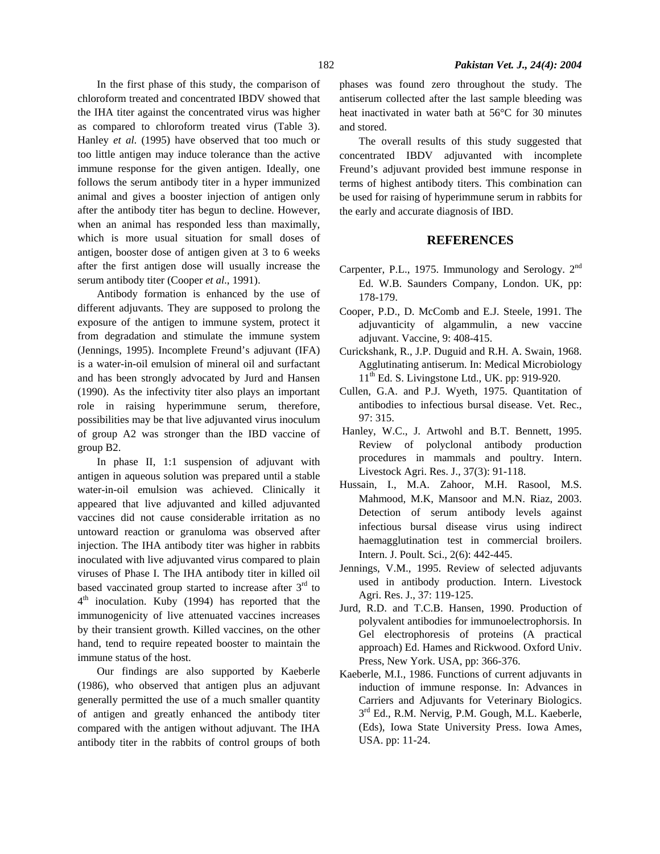In the first phase of this study, the comparison of chloroform treated and concentrated IBDV showed that the IHA titer against the concentrated virus was higher as compared to chloroform treated virus (Table 3). Hanley *et al*. (1995) have observed that too much or too little antigen may induce tolerance than the active immune response for the given antigen. Ideally, one follows the serum antibody titer in a hyper immunized animal and gives a booster injection of antigen only after the antibody titer has begun to decline. However, when an animal has responded less than maximally, which is more usual situation for small doses of antigen, booster dose of antigen given at 3 to 6 weeks after the first antigen dose will usually increase the serum antibody titer (Cooper *et al*., 1991).

Antibody formation is enhanced by the use of different adjuvants. They are supposed to prolong the exposure of the antigen to immune system, protect it from degradation and stimulate the immune system (Jennings, 1995). Incomplete Freund's adjuvant (IFA) is a water-in-oil emulsion of mineral oil and surfactant and has been strongly advocated by Jurd and Hansen (1990). As the infectivity titer also plays an important role in raising hyperimmune serum, therefore, possibilities may be that live adjuvanted virus inoculum of group A2 was stronger than the IBD vaccine of group B2.

In phase II, 1:1 suspension of adjuvant with antigen in aqueous solution was prepared until a stable water-in-oil emulsion was achieved. Clinically it appeared that live adjuvanted and killed adjuvanted vaccines did not cause considerable irritation as no untoward reaction or granuloma was observed after injection. The IHA antibody titer was higher in rabbits inoculated with live adjuvanted virus compared to plain viruses of Phase I. The IHA antibody titer in killed oil based vaccinated group started to increase after  $3<sup>rd</sup>$  to  $4<sup>th</sup>$  inoculation. Kuby (1994) has reported that the immunogenicity of live attenuated vaccines increases by their transient growth. Killed vaccines, on the other hand, tend to require repeated booster to maintain the immune status of the host.

Our findings are also supported by Kaeberle (1986), who observed that antigen plus an adjuvant generally permitted the use of a much smaller quantity of antigen and greatly enhanced the antibody titer compared with the antigen without adjuvant. The IHA antibody titer in the rabbits of control groups of both phases was found zero throughout the study. The antiserum collected after the last sample bleeding was heat inactivated in water bath at 56°C for 30 minutes and stored.

The overall results of this study suggested that concentrated IBDV adjuvanted with incomplete Freund's adjuvant provided best immune response in terms of highest antibody titers. This combination can be used for raising of hyperimmune serum in rabbits for the early and accurate diagnosis of IBD.

## **REFERENCES**

- Carpenter, P.L., 1975. Immunology and Serology. 2<sup>nd</sup> Ed. W.B. Saunders Company, London. UK, pp: 178-179.
- Cooper, P.D., D. McComb and E.J. Steele, 1991. The adjuvanticity of algammulin, a new vaccine adjuvant. Vaccine, 9: 408-415.
- Curickshank, R., J.P. Duguid and R.H. A. Swain, 1968. Agglutinating antiserum. In: Medical Microbiology  $11<sup>th</sup>$  Ed. S. Livingstone Ltd., UK. pp: 919-920.
- Cullen, G.A. and P.J. Wyeth, 1975. Quantitation of antibodies to infectious bursal disease. Vet. Rec., 97: 315.
- Hanley, W.C., J. Artwohl and B.T. Bennett, 1995. Review of polyclonal antibody production procedures in mammals and poultry. Intern. Livestock Agri. Res. J., 37(3): 91-118.
- Hussain, I., M.A. Zahoor, M.H. Rasool, M.S. Mahmood, M.K, Mansoor and M.N. Riaz, 2003. Detection of serum antibody levels against infectious bursal disease virus using indirect haemagglutination test in commercial broilers. Intern. J. Poult. Sci., 2(6): 442-445.
- Jennings, V.M., 1995. Review of selected adjuvants used in antibody production. Intern. Livestock Agri. Res. J., 37: 119-125.
- Jurd, R.D. and T.C.B. Hansen, 1990. Production of polyvalent antibodies for immunoelectrophorsis. In Gel electrophoresis of proteins (A practical approach) Ed. Hames and Rickwood. Oxford Univ. Press, New York. USA, pp: 366-376.
- Kaeberle, M.I., 1986. Functions of current adjuvants in induction of immune response. In: Advances in Carriers and Adjuvants for Veterinary Biologics.  $3<sup>rd</sup>$  Ed., R.M. Nervig, P.M. Gough, M.L. Kaeberle, (Eds), Iowa State University Press. Iowa Ames, USA. pp: 11-24.